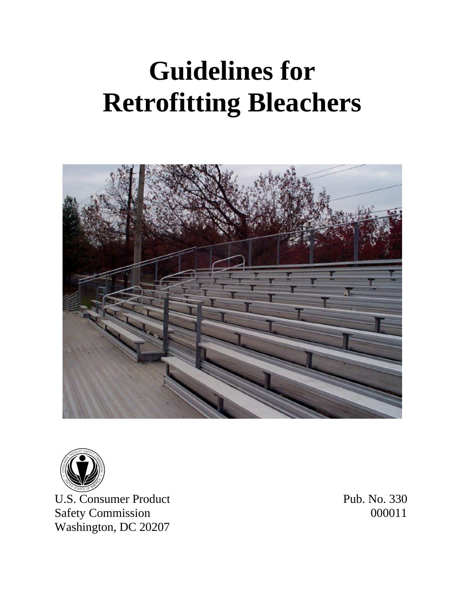# **Guidelines for Retrofitting Bleachers**





U.S. Consumer Product Pub. No. 330 Safety Commission 000011 Washington, DC 20207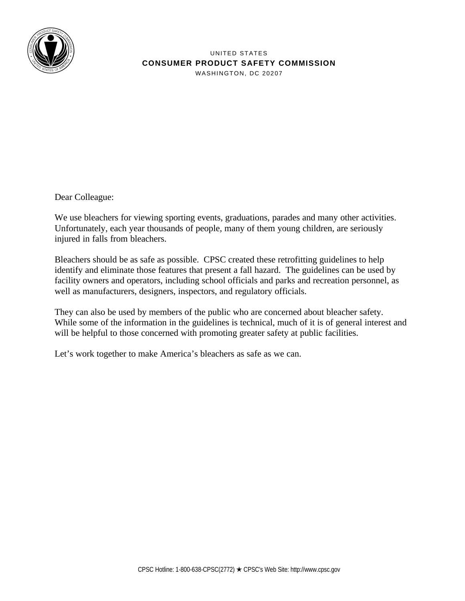

UNITED STATES **CONSUMER PRODUCT SAFETY COMMISSION** WASHINGTON, DC 20207

Dear Colleague:

We use bleachers for viewing sporting events, graduations, parades and many other activities. Unfortunately, each year thousands of people, many of them young children, are seriously injured in falls from bleachers.

Bleachers should be as safe as possible. CPSC created these retrofitting guidelines to help identify and eliminate those features that present a fall hazard. The guidelines can be used by facility owners and operators, including school officials and parks and recreation personnel, as well as manufacturers, designers, inspectors, and regulatory officials.

They can also be used by members of the public who are concerned about bleacher safety. While some of the information in the guidelines is technical, much of it is of general interest and will be helpful to those concerned with promoting greater safety at public facilities.

Let's work together to make America's bleachers as safe as we can.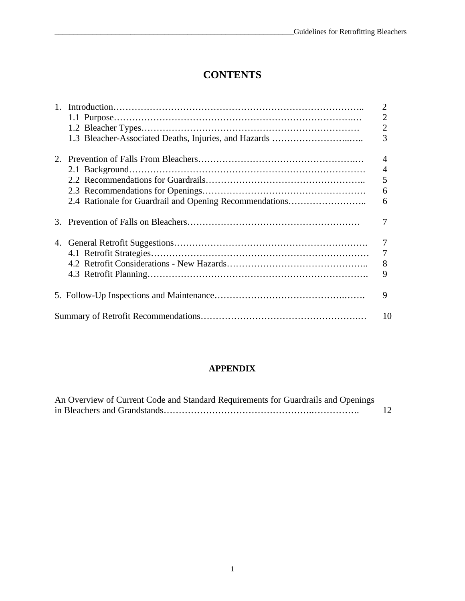# **CONTENTS**

|  |                                                         | $\overline{2}$ |
|--|---------------------------------------------------------|----------------|
|  |                                                         | $\overline{2}$ |
|  |                                                         | $\overline{2}$ |
|  |                                                         | 3              |
|  |                                                         | 4              |
|  |                                                         | $\overline{4}$ |
|  |                                                         | 5              |
|  |                                                         | 6              |
|  | 2.4 Rationale for Guardrail and Opening Recommendations | 6              |
|  |                                                         |                |
|  |                                                         |                |
|  |                                                         | 7              |
|  |                                                         | 8              |
|  |                                                         | 9              |
|  |                                                         | 9              |
|  |                                                         | 10             |

#### **APPENDIX**

| An Overview of Current Code and Standard Requirements for Guardrails and Openings |    |
|-----------------------------------------------------------------------------------|----|
|                                                                                   | 12 |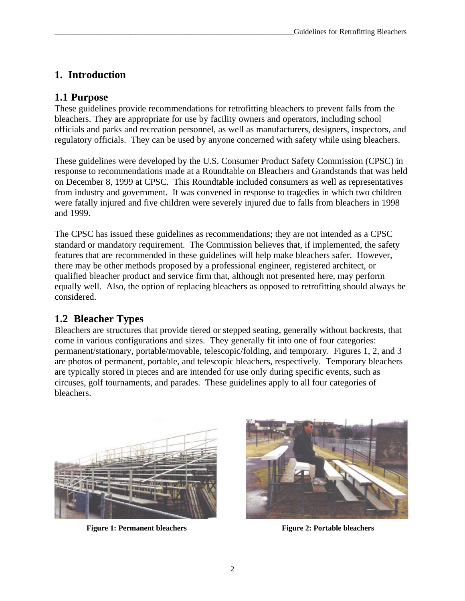# **1. Introduction**

## **1.1 Purpose**

These guidelines provide recommendations for retrofitting bleachers to prevent falls from the bleachers. They are appropriate for use by facility owners and operators, including school officials and parks and recreation personnel, as well as manufacturers, designers, inspectors, and regulatory officials. They can be used by anyone concerned with safety while using bleachers.

These guidelines were developed by the U.S. Consumer Product Safety Commission (CPSC) in response to recommendations made at a Roundtable on Bleachers and Grandstands that was held on December 8, 1999 at CPSC. This Roundtable included consumers as well as representatives from industry and government. It was convened in response to tragedies in which two children were fatally injured and five children were severely injured due to falls from bleachers in 1998 and 1999.

The CPSC has issued these guidelines as recommendations; they are not intended as a CPSC standard or mandatory requirement. The Commission believes that, if implemented, the safety features that are recommended in these guidelines will help make bleachers safer. However, there may be other methods proposed by a professional engineer, registered architect, or qualified bleacher product and service firm that, although not presented here, may perform equally well. Also, the option of replacing bleachers as opposed to retrofitting should always be considered.

## **1.2 Bleacher Types**

Bleachers are structures that provide tiered or stepped seating, generally without backrests, that come in various configurations and sizes. They generally fit into one of four categories: permanent/stationary, portable/movable, telescopic/folding, and temporary. Figures 1, 2, and 3 are photos of permanent, portable, and telescopic bleachers, respectively. Temporary bleachers are typically stored in pieces and are intended for use only during specific events, such as circuses, golf tournaments, and parades. These guidelines apply to all four categories of bleachers.



**Figure 1: Permanent bleachers Figure 2: Portable bleachers**

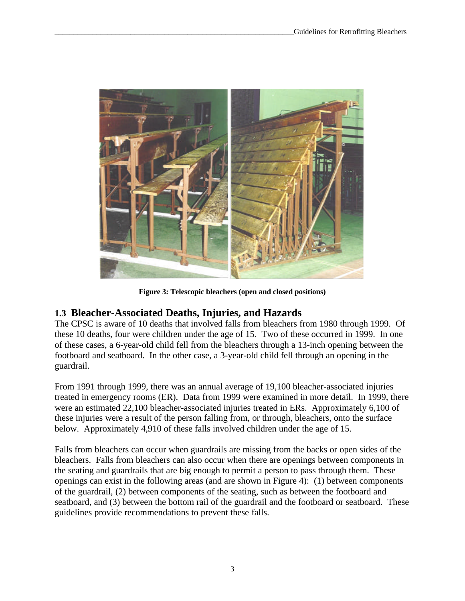

**Figure 3: Telescopic bleachers (open and closed positions)**

## **1.3 Bleacher-Associated Deaths, Injuries, and Hazards**

The CPSC is aware of 10 deaths that involved falls from bleachers from 1980 through 1999. Of these 10 deaths, four were children under the age of 15. Two of these occurred in 1999. In one of these cases, a 6-year-old child fell from the bleachers through a 13-inch opening between the footboard and seatboard. In the other case, a 3-year-old child fell through an opening in the guardrail.

From 1991 through 1999, there was an annual average of 19,100 bleacher-associated injuries treated in emergency rooms (ER). Data from 1999 were examined in more detail. In 1999, there were an estimated 22,100 bleacher-associated injuries treated in ERs. Approximately 6,100 of these injuries were a result of the person falling from, or through, bleachers, onto the surface below. Approximately 4,910 of these falls involved children under the age of 15.

Falls from bleachers can occur when guardrails are missing from the backs or open sides of the bleachers. Falls from bleachers can also occur when there are openings between components in the seating and guardrails that are big enough to permit a person to pass through them. These openings can exist in the following areas (and are shown in Figure 4): (1) between components of the guardrail, (2) between components of the seating, such as between the footboard and seatboard, and (3) between the bottom rail of the guardrail and the footboard or seatboard. These guidelines provide recommendations to prevent these falls.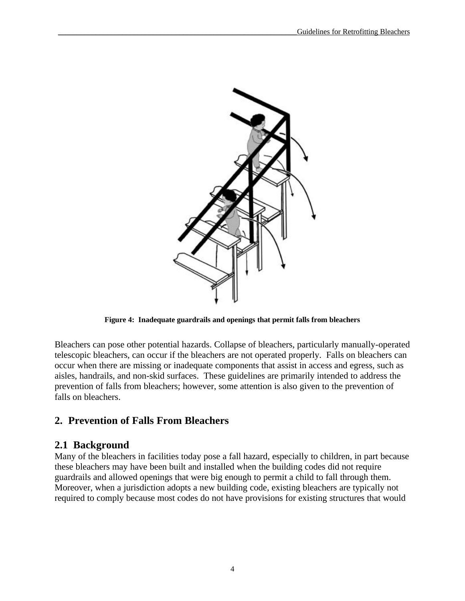

**Figure 4: Inadequate guardrails and openings that permit falls from bleachers**

Bleachers can pose other potential hazards. Collapse of bleachers, particularly manually-operated telescopic bleachers, can occur if the bleachers are not operated properly. Falls on bleachers can occur when there are missing or inadequate components that assist in access and egress, such as aisles, handrails, and non-skid surfaces. These guidelines are primarily intended to address the prevention of falls from bleachers; however, some attention is also given to the prevention of falls on bleachers.

## **2. Prevention of Falls From Bleachers**

## **2.1 Background**

Many of the bleachers in facilities today pose a fall hazard, especially to children, in part because these bleachers may have been built and installed when the building codes did not require guardrails and allowed openings that were big enough to permit a child to fall through them. Moreover, when a jurisdiction adopts a new building code, existing bleachers are typically not required to comply because most codes do not have provisions for existing structures that would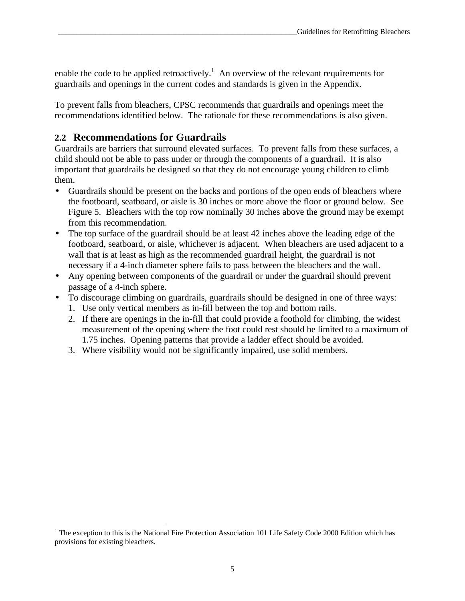enable the code to be applied retroactively.<sup>1</sup> An overview of the relevant requirements for guardrails and openings in the current codes and standards is given in the Appendix.

To prevent falls from bleachers, CPSC recommends that guardrails and openings meet the recommendations identified below. The rationale for these recommendations is also given.

## **2.2 Recommendations for Guardrails**

 $\overline{a}$ 

Guardrails are barriers that surround elevated surfaces. To prevent falls from these surfaces, a child should not be able to pass under or through the components of a guardrail. It is also important that guardrails be designed so that they do not encourage young children to climb them.

- Guardrails should be present on the backs and portions of the open ends of bleachers where the footboard, seatboard, or aisle is 30 inches or more above the floor or ground below. See Figure 5. Bleachers with the top row nominally 30 inches above the ground may be exempt from this recommendation.
- The top surface of the guardrail should be at least 42 inches above the leading edge of the footboard, seatboard, or aisle, whichever is adjacent. When bleachers are used adjacent to a wall that is at least as high as the recommended guardrail height, the guardrail is not necessary if a 4-inch diameter sphere fails to pass between the bleachers and the wall.
- Any opening between components of the guardrail or under the guardrail should prevent passage of a 4-inch sphere.
- To discourage climbing on guardrails, guardrails should be designed in one of three ways:
	- 1. Use only vertical members as in-fill between the top and bottom rails.
	- 2. If there are openings in the in-fill that could provide a foothold for climbing, the widest measurement of the opening where the foot could rest should be limited to a maximum of 1.75 inches. Opening patterns that provide a ladder effect should be avoided.
	- 3. Where visibility would not be significantly impaired, use solid members.

<sup>&</sup>lt;sup>1</sup> The exception to this is the National Fire Protection Association 101 Life Safety Code 2000 Edition which has provisions for existing bleachers.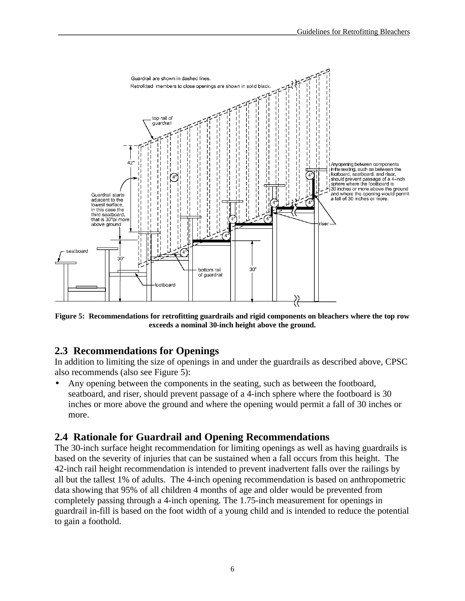

**Figure 5: Recommendations for retrofitting guardrails and rigid components on bleachers where the top row exceeds a nominal 30-inch height above the ground.**

## **2.3 Recommendations for Openings**

In addition to limiting the size of openings in and under the guardrails as described above, CPSC also recommends (also see Figure 5):

• Any opening between the components in the seating, such as between the footboard, seatboard, and riser, should prevent passage of a 4-inch sphere where the footboard is 30 inches or more above the ground and where the opening would permit a fall of 30 inches or more.

## **2.4 Rationale for Guardrail and Opening Recommendations**

The 30-inch surface height recommendation for limiting openings as well as having guardrails is based on the severity of injuries that can be sustained when a fall occurs from this height. The 42-inch rail height recommendation is intended to prevent inadvertent falls over the railings by all but the tallest 1% of adults. The 4-inch opening recommendation is based on anthropometric data showing that 95% of all children 4 months of age and older would be prevented from completely passing through a 4-inch opening. The 1.75-inch measurement for openings in guardrail in-fill is based on the foot width of a young child and is intended to reduce the potential to gain a foothold.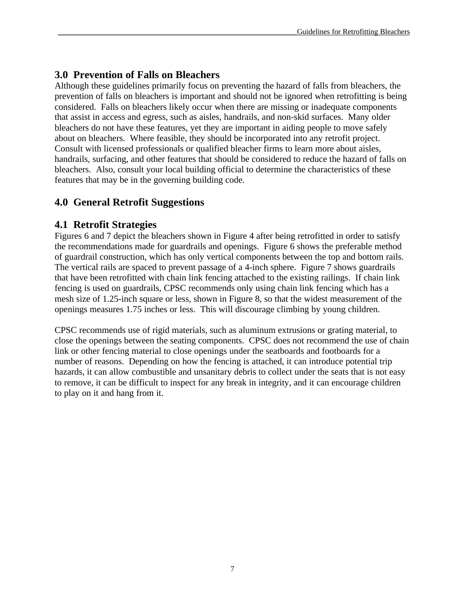# **3.0 Prevention of Falls on Bleachers**

Although these guidelines primarily focus on preventing the hazard of falls from bleachers, the prevention of falls on bleachers is important and should not be ignored when retrofitting is being considered. Falls on bleachers likely occur when there are missing or inadequate components that assist in access and egress, such as aisles, handrails, and non-skid surfaces. Many older bleachers do not have these features, yet they are important in aiding people to move safely about on bleachers. Where feasible, they should be incorporated into any retrofit project. Consult with licensed professionals or qualified bleacher firms to learn more about aisles, handrails, surfacing, and other features that should be considered to reduce the hazard of falls on bleachers. Also, consult your local building official to determine the characteristics of these features that may be in the governing building code.

# **4.0 General Retrofit Suggestions**

## **4.1 Retrofit Strategies**

Figures 6 and 7 depict the bleachers shown in Figure 4 after being retrofitted in order to satisfy the recommendations made for guardrails and openings. Figure 6 shows the preferable method of guardrail construction, which has only vertical components between the top and bottom rails. The vertical rails are spaced to prevent passage of a 4-inch sphere. Figure 7 shows guardrails that have been retrofitted with chain link fencing attached to the existing railings. If chain link fencing is used on guardrails, CPSC recommends only using chain link fencing which has a mesh size of 1.25-inch square or less, shown in Figure 8, so that the widest measurement of the openings measures 1.75 inches or less. This will discourage climbing by young children.

CPSC recommends use of rigid materials, such as aluminum extrusions or grating material, to close the openings between the seating components. CPSC does not recommend the use of chain link or other fencing material to close openings under the seatboards and footboards for a number of reasons. Depending on how the fencing is attached, it can introduce potential trip hazards, it can allow combustible and unsanitary debris to collect under the seats that is not easy to remove, it can be difficult to inspect for any break in integrity, and it can encourage children to play on it and hang from it.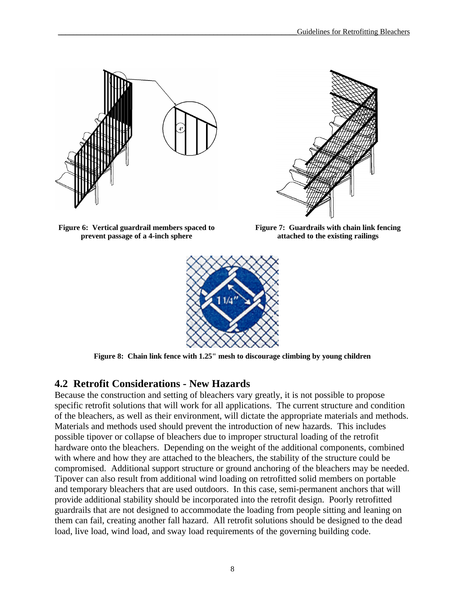



**Figure 6: Vertical guardrail members spaced to prevent passage of a 4-inch sphere**

**Figure 7: Guardrails with chain link fencing attached to the existing railings**



**Figure 8: Chain link fence with 1.25" mesh to discourage climbing by young children**

## **4.2 Retrofit Considerations - New Hazards**

Because the construction and setting of bleachers vary greatly, it is not possible to propose specific retrofit solutions that will work for all applications. The current structure and condition of the bleachers, as well as their environment, will dictate the appropriate materials and methods. Materials and methods used should prevent the introduction of new hazards. This includes possible tipover or collapse of bleachers due to improper structural loading of the retrofit hardware onto the bleachers. Depending on the weight of the additional components, combined with where and how they are attached to the bleachers, the stability of the structure could be compromised. Additional support structure or ground anchoring of the bleachers may be needed. Tipover can also result from additional wind loading on retrofitted solid members on portable and temporary bleachers that are used outdoors. In this case, semi-permanent anchors that will provide additional stability should be incorporated into the retrofit design. Poorly retrofitted guardrails that are not designed to accommodate the loading from people sitting and leaning on them can fail, creating another fall hazard. All retrofit solutions should be designed to the dead load, live load, wind load, and sway load requirements of the governing building code.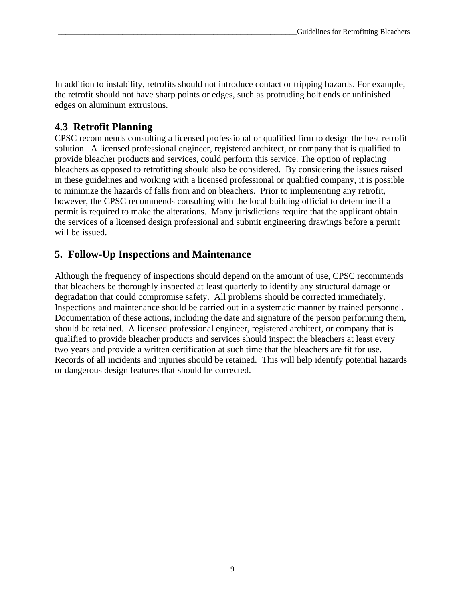In addition to instability, retrofits should not introduce contact or tripping hazards. For example, the retrofit should not have sharp points or edges, such as protruding bolt ends or unfinished edges on aluminum extrusions.

# **4.3 Retrofit Planning**

CPSC recommends consulting a licensed professional or qualified firm to design the best retrofit solution. A licensed professional engineer, registered architect, or company that is qualified to provide bleacher products and services, could perform this service. The option of replacing bleachers as opposed to retrofitting should also be considered. By considering the issues raised in these guidelines and working with a licensed professional or qualified company, it is possible to minimize the hazards of falls from and on bleachers. Prior to implementing any retrofit, however, the CPSC recommends consulting with the local building official to determine if a permit is required to make the alterations. Many jurisdictions require that the applicant obtain the services of a licensed design professional and submit engineering drawings before a permit will be issued.

# **5. Follow-Up Inspections and Maintenance**

Although the frequency of inspections should depend on the amount of use, CPSC recommends that bleachers be thoroughly inspected at least quarterly to identify any structural damage or degradation that could compromise safety. All problems should be corrected immediately. Inspections and maintenance should be carried out in a systematic manner by trained personnel. Documentation of these actions, including the date and signature of the person performing them, should be retained. A licensed professional engineer, registered architect, or company that is qualified to provide bleacher products and services should inspect the bleachers at least every two years and provide a written certification at such time that the bleachers are fit for use. Records of all incidents and injuries should be retained. This will help identify potential hazards or dangerous design features that should be corrected.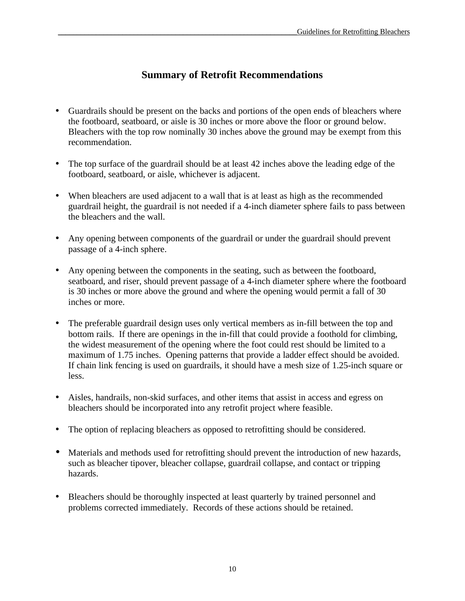# **Summary of Retrofit Recommendations**

- Guardrails should be present on the backs and portions of the open ends of bleachers where the footboard, seatboard, or aisle is 30 inches or more above the floor or ground below. Bleachers with the top row nominally 30 inches above the ground may be exempt from this recommendation.
- The top surface of the guardrail should be at least 42 inches above the leading edge of the footboard, seatboard, or aisle, whichever is adjacent.
- When bleachers are used adjacent to a wall that is at least as high as the recommended guardrail height, the guardrail is not needed if a 4-inch diameter sphere fails to pass between the bleachers and the wall.
- Any opening between components of the guardrail or under the guardrail should prevent passage of a 4-inch sphere.
- Any opening between the components in the seating, such as between the footboard, seatboard, and riser, should prevent passage of a 4-inch diameter sphere where the footboard is 30 inches or more above the ground and where the opening would permit a fall of 30 inches or more.
- The preferable guardrail design uses only vertical members as in-fill between the top and bottom rails. If there are openings in the in-fill that could provide a foothold for climbing, the widest measurement of the opening where the foot could rest should be limited to a maximum of 1.75 inches. Opening patterns that provide a ladder effect should be avoided. If chain link fencing is used on guardrails, it should have a mesh size of 1.25-inch square or less.
- Aisles, handrails, non-skid surfaces, and other items that assist in access and egress on bleachers should be incorporated into any retrofit project where feasible.
- The option of replacing bleachers as opposed to retrofitting should be considered.
- Materials and methods used for retrofitting should prevent the introduction of new hazards, such as bleacher tipover, bleacher collapse, guardrail collapse, and contact or tripping hazards.
- Bleachers should be thoroughly inspected at least quarterly by trained personnel and problems corrected immediately. Records of these actions should be retained.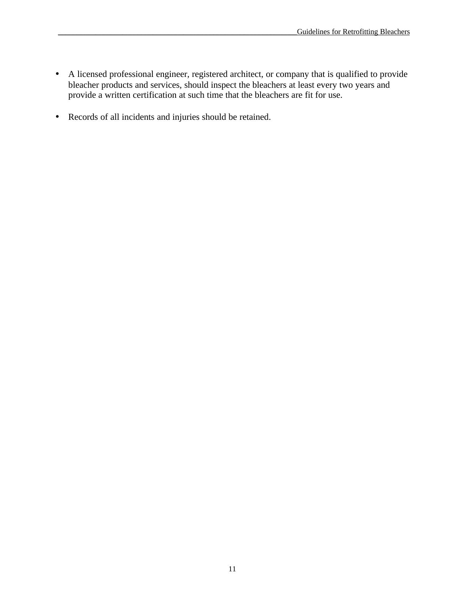- A licensed professional engineer, registered architect, or company that is qualified to provide bleacher products and services, should inspect the bleachers at least every two years and provide a written certification at such time that the bleachers are fit for use.
- Records of all incidents and injuries should be retained.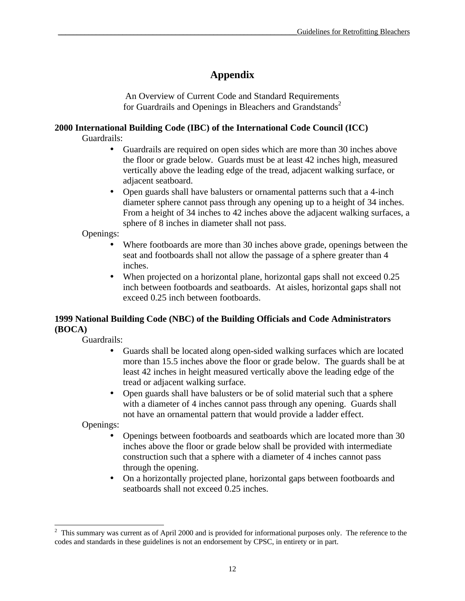# **Appendix**

An Overview of Current Code and Standard Requirements for Guardrails and Openings in Bleachers and Grandstands<sup>2</sup>

## **2000 International Building Code (IBC) of the International Code Council (ICC)**

Guardrails:

- Guardrails are required on open sides which are more than 30 inches above the floor or grade below. Guards must be at least 42 inches high, measured vertically above the leading edge of the tread, adjacent walking surface, or adjacent seatboard.
- Open guards shall have balusters or ornamental patterns such that a 4-inch diameter sphere cannot pass through any opening up to a height of 34 inches. From a height of 34 inches to 42 inches above the adjacent walking surfaces, a sphere of 8 inches in diameter shall not pass.

Openings:

- Where footboards are more than 30 inches above grade, openings between the seat and footboards shall not allow the passage of a sphere greater than 4 inches.
- When projected on a horizontal plane, horizontal gaps shall not exceed 0.25 inch between footboards and seatboards. At aisles, horizontal gaps shall not exceed 0.25 inch between footboards.

## **1999 National Building Code (NBC) of the Building Officials and Code Administrators (BOCA)**

Guardrails:

- Guards shall be located along open-sided walking surfaces which are located more than 15.5 inches above the floor or grade below. The guards shall be at least 42 inches in height measured vertically above the leading edge of the tread or adjacent walking surface.
- Open guards shall have balusters or be of solid material such that a sphere with a diameter of 4 inches cannot pass through any opening. Guards shall not have an ornamental pattern that would provide a ladder effect.

Openings:

- Openings between footboards and seatboards which are located more than 30 inches above the floor or grade below shall be provided with intermediate construction such that a sphere with a diameter of 4 inches cannot pass through the opening.
- On a horizontally projected plane, horizontal gaps between footboards and seatboards shall not exceed 0.25 inches.

<sup>&</sup>lt;sup>2</sup> This summary was current as of April 2000 and is provided for informational purposes only. The reference to the codes and standards in these guidelines is not an endorsement by CPSC, in entirety or in part.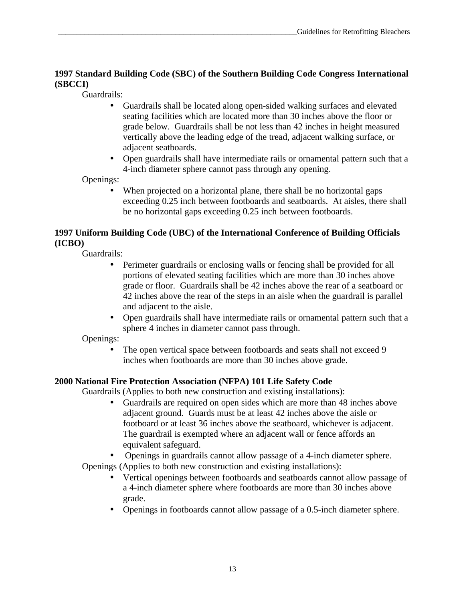#### **1997 Standard Building Code (SBC) of the Southern Building Code Congress International (SBCCI)**

Guardrails:

- Guardrails shall be located along open-sided walking surfaces and elevated seating facilities which are located more than 30 inches above the floor or grade below. Guardrails shall be not less than 42 inches in height measured vertically above the leading edge of the tread, adjacent walking surface, or adjacent seatboards.
- Open guardrails shall have intermediate rails or ornamental pattern such that a 4-inch diameter sphere cannot pass through any opening.

Openings:

When projected on a horizontal plane, there shall be no horizontal gaps exceeding 0.25 inch between footboards and seatboards. At aisles, there shall be no horizontal gaps exceeding 0.25 inch between footboards.

#### **1997 Uniform Building Code (UBC) of the International Conference of Building Officials (ICBO)**

Guardrails:

- Perimeter guardrails or enclosing walls or fencing shall be provided for all portions of elevated seating facilities which are more than 30 inches above grade or floor. Guardrails shall be 42 inches above the rear of a seatboard or 42 inches above the rear of the steps in an aisle when the guardrail is parallel and adjacent to the aisle.
- Open guardrails shall have intermediate rails or ornamental pattern such that a sphere 4 inches in diameter cannot pass through.

Openings:

• The open vertical space between footboards and seats shall not exceed 9 inches when footboards are more than 30 inches above grade.

## **2000 National Fire Protection Association (NFPA) 101 Life Safety Code**

Guardrails (Applies to both new construction and existing installations):

- Guardrails are required on open sides which are more than 48 inches above adjacent ground. Guards must be at least 42 inches above the aisle or footboard or at least 36 inches above the seatboard, whichever is adjacent. The guardrail is exempted where an adjacent wall or fence affords an equivalent safeguard.
- Openings in guardrails cannot allow passage of a 4-inch diameter sphere.

Openings (Applies to both new construction and existing installations):

- Vertical openings between footboards and seatboards cannot allow passage of a 4-inch diameter sphere where footboards are more than 30 inches above grade.
- Openings in footboards cannot allow passage of a 0.5-inch diameter sphere.